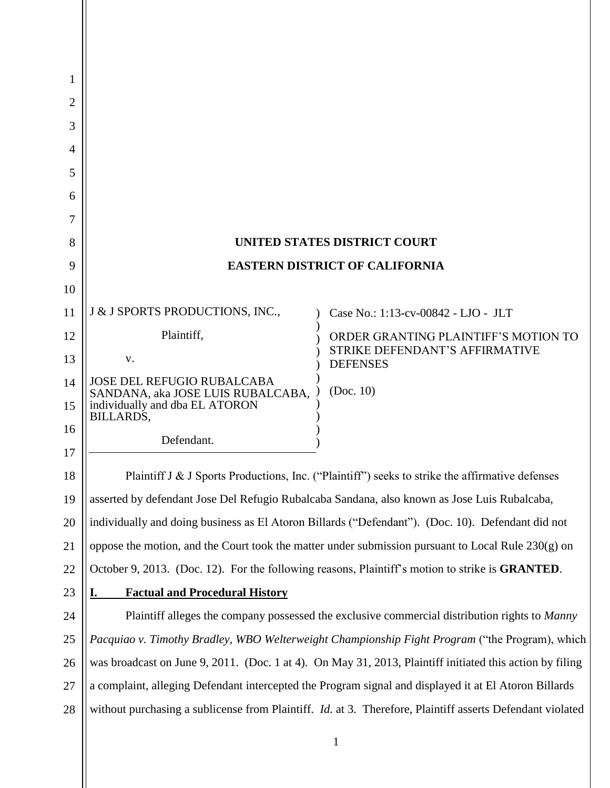| 1<br>2 |                                                                                                          |                                                                                                                  |  |  |  |
|--------|----------------------------------------------------------------------------------------------------------|------------------------------------------------------------------------------------------------------------------|--|--|--|
| 3      |                                                                                                          |                                                                                                                  |  |  |  |
| 4      |                                                                                                          |                                                                                                                  |  |  |  |
| 5      |                                                                                                          |                                                                                                                  |  |  |  |
| 6      |                                                                                                          |                                                                                                                  |  |  |  |
| 7      |                                                                                                          |                                                                                                                  |  |  |  |
| 8      | <b>UNITED STATES DISTRICT COURT</b>                                                                      |                                                                                                                  |  |  |  |
| 9      | <b>EASTERN DISTRICT OF CALIFORNIA</b>                                                                    |                                                                                                                  |  |  |  |
| 10     |                                                                                                          |                                                                                                                  |  |  |  |
| 11     | J & J SPORTS PRODUCTIONS, INC.,                                                                          | Case No.: 1:13-cv-00842 - LJO - JLT                                                                              |  |  |  |
| 12     | Plaintiff,                                                                                               | ORDER GRANTING PLAINTIFF'S MOTION TO                                                                             |  |  |  |
| 13     | V.                                                                                                       | STRIKE DEFENDANT'S AFFIRMATIVE<br><b>DEFENSES</b>                                                                |  |  |  |
| 14     | <b>JOSE DEL REFUGIO RUBALCABA</b>                                                                        | (Doc. 10)                                                                                                        |  |  |  |
| 15     | SANDANA, aka JOSE LUIS RUBALCABA,<br>individually and dba EL ATORON<br>BILLARDS,                         |                                                                                                                  |  |  |  |
| 16     | Defendant.                                                                                               |                                                                                                                  |  |  |  |
| 17     |                                                                                                          |                                                                                                                  |  |  |  |
| 18     |                                                                                                          | Plaintiff $J \& J$ Sports Productions, Inc. ("Plaintiff") seeks to strike the affirmative defenses               |  |  |  |
| 19     | asserted by defendant Jose Del Refugio Rubalcaba Sandana, also known as Jose Luis Rubalcaba,             |                                                                                                                  |  |  |  |
| 20     | individually and doing business as El Atoron Billards ("Defendant"). (Doc. 10). Defendant did not        |                                                                                                                  |  |  |  |
| 21     | oppose the motion, and the Court took the matter under submission pursuant to Local Rule $230(g)$ on     |                                                                                                                  |  |  |  |
| 22     | October 9, 2013. (Doc. 12). For the following reasons, Plaintiff's motion to strike is <b>GRANTED</b> .  |                                                                                                                  |  |  |  |
| 23     | <b>Factual and Procedural History</b><br>I.                                                              |                                                                                                                  |  |  |  |
| 24     | Plaintiff alleges the company possessed the exclusive commercial distribution rights to Manny            |                                                                                                                  |  |  |  |
| 25     | Pacquiao v. Timothy Bradley, WBO Welterweight Championship Fight Program ("the Program), which           |                                                                                                                  |  |  |  |
| 26     | was broadcast on June 9, 2011. (Doc. 1 at 4). On May 31, 2013, Plaintiff initiated this action by filing |                                                                                                                  |  |  |  |
| 27     | a complaint, alleging Defendant intercepted the Program signal and displayed it at El Atoron Billards    |                                                                                                                  |  |  |  |
| 28     |                                                                                                          | without purchasing a sublicense from Plaintiff. <i>Id.</i> at 3. Therefore, Plaintiff asserts Defendant violated |  |  |  |
|        |                                                                                                          |                                                                                                                  |  |  |  |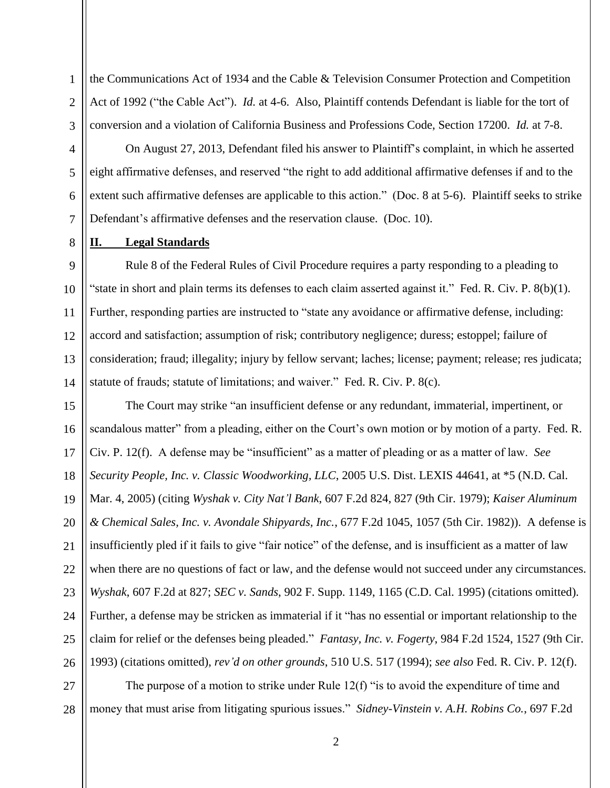the Communications Act of 1934 and the Cable & Television Consumer Protection and Competition Act of 1992 ("the Cable Act"). *Id.* at 4-6. Also, Plaintiff contends Defendant is liable for the tort of conversion and a violation of California Business and Professions Code, Section 17200. *Id.* at 7-8.

On August 27, 2013, Defendant filed his answer to Plaintiff's complaint, in which he asserted eight affirmative defenses, and reserved "the right to add additional affirmative defenses if and to the extent such affirmative defenses are applicable to this action." (Doc. 8 at 5-6). Plaintiff seeks to strike Defendant's affirmative defenses and the reservation clause. (Doc. 10).

## **II. Legal Standards**

1

2

3

4

5

6

7

8

9 10 11 12 13 14 Rule 8 of the Federal Rules of Civil Procedure requires a party responding to a pleading to "state in short and plain terms its defenses to each claim asserted against it." Fed. R. Civ. P.  $8(b)(1)$ . Further, responding parties are instructed to "state any avoidance or affirmative defense, including: accord and satisfaction; assumption of risk; contributory negligence; duress; estoppel; failure of consideration; fraud; illegality; injury by fellow servant; laches; license; payment; release; res judicata; statute of frauds; statute of limitations; and waiver." Fed. R. Civ. P. 8(c).

15 16 17 18 19 20 21 22 23 24 25 26 The Court may strike "an insufficient defense or any redundant, immaterial, impertinent, or scandalous matter" from a pleading, either on the Court's own motion or by motion of a party. Fed. R. Civ. P. 12(f). A defense may be "insufficient" as a matter of pleading or as a matter of law. *See Security People, Inc. v. Classic Woodworking, LLC*, 2005 U.S. Dist. LEXIS 44641, at \*5 (N.D. Cal. Mar. 4, 2005) (citing *Wyshak v. City Nat'l Bank*, 607 F.2d 824, 827 (9th Cir. 1979); *Kaiser Aluminum & Chemical Sales, Inc. v. Avondale Shipyards, Inc.*, 677 F.2d 1045, 1057 (5th Cir. 1982)). A defense is insufficiently pled if it fails to give "fair notice" of the defense, and is insufficient as a matter of law when there are no questions of fact or law, and the defense would not succeed under any circumstances. *Wyshak*, 607 F.2d at 827; *SEC v. Sands*, 902 F. Supp. 1149, 1165 (C.D. Cal. 1995) (citations omitted). Further, a defense may be stricken as immaterial if it "has no essential or important relationship to the claim for relief or the defenses being pleaded." *Fantasy, Inc. v. Fogerty*, 984 F.2d 1524, 1527 (9th Cir. 1993) (citations omitted), *rev'd on other grounds*, 510 U.S. 517 (1994); *see also* Fed. R. Civ. P. 12(f).

27 28 The purpose of a motion to strike under Rule 12(f) "is to avoid the expenditure of time and money that must arise from litigating spurious issues." *Sidney-Vinstein v. A.H. Robins Co.*, 697 F.2d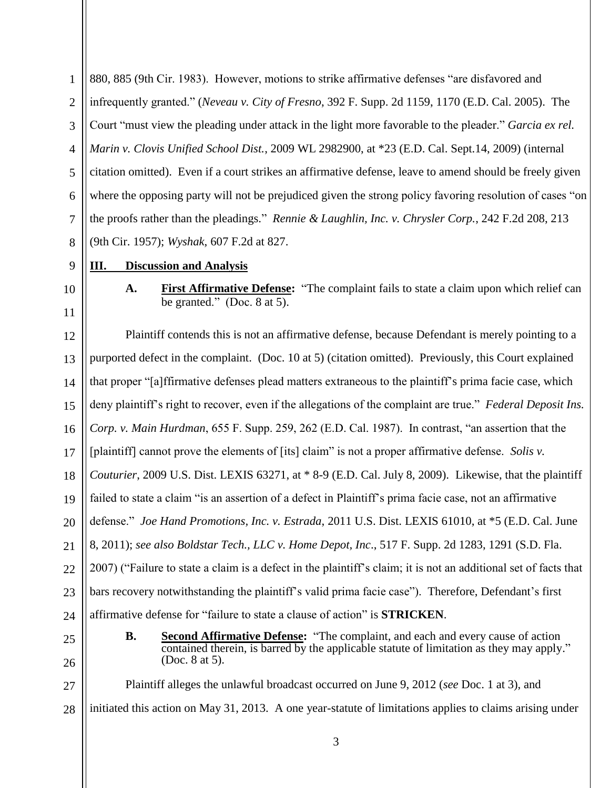1 2 3 4 5 6 7 8 880, 885 (9th Cir. 1983). However, motions to strike affirmative defenses "are disfavored and infrequently granted." (*Neveau v. City of Fresno*, 392 F. Supp. 2d 1159, 1170 (E.D. Cal. 2005). The Court "must view the pleading under attack in the light more favorable to the pleader." *Garcia ex rel. Marin v. Clovis Unified School Dist.*, 2009 WL 2982900, at \*23 (E.D. Cal. Sept.14, 2009) (internal citation omitted). Even if a court strikes an affirmative defense, leave to amend should be freely given where the opposing party will not be prejudiced given the strong policy favoring resolution of cases "on the proofs rather than the pleadings." *Rennie & Laughlin, Inc. v. Chrysler Corp.*, 242 F.2d 208, 213 (9th Cir. 1957); *Wyshak*, 607 F.2d at 827.

## **III. Discussion and Analysis**

10 11

9

**A. First Affirmative Defense:** "The complaint fails to state a claim upon which relief can be granted." (Doc. 8 at 5).

12 13 14 15 16 17 18 19 20 21 22 23 24 Plaintiff contends this is not an affirmative defense, because Defendant is merely pointing to a purported defect in the complaint. (Doc. 10 at 5) (citation omitted). Previously, this Court explained that proper "[a]ffirmative defenses plead matters extraneous to the plaintiff's prima facie case, which deny plaintiff's right to recover, even if the allegations of the complaint are true." *Federal Deposit Ins. Corp. v. Main Hurdman*, 655 F. Supp. 259, 262 (E.D. Cal. 1987). In contrast, "an assertion that the [plaintiff] cannot prove the elements of [its] claim" is not a proper affirmative defense. *Solis v. Couturier*, 2009 U.S. Dist. LEXIS 63271, at \* 8-9 (E.D. Cal. July 8, 2009). Likewise, that the plaintiff failed to state a claim "is an assertion of a defect in Plaintiff's prima facie case, not an affirmative defense." *Joe Hand Promotions, Inc. v. Estrada*, 2011 U.S. Dist. LEXIS 61010, at \*5 (E.D. Cal. June 8, 2011); *see also Boldstar Tech., LLC v. Home Depot, Inc*., 517 F. Supp. 2d 1283, 1291 (S.D. Fla. 2007) ("Failure to state a claim is a defect in the plaintiff's claim; it is not an additional set of facts that bars recovery notwithstanding the plaintiff's valid prima facie case"). Therefore, Defendant's first affirmative defense for "failure to state a clause of action" is **STRICKEN**.

25 26 **B. Second Affirmative Defense:** "The complaint, and each and every cause of action contained therein, is barred by the applicable statute of limitation as they may apply." (Doc. 8 at 5).

27 28 Plaintiff alleges the unlawful broadcast occurred on June 9, 2012 (*see* Doc. 1 at 3), and initiated this action on May 31, 2013. A one year-statute of limitations applies to claims arising under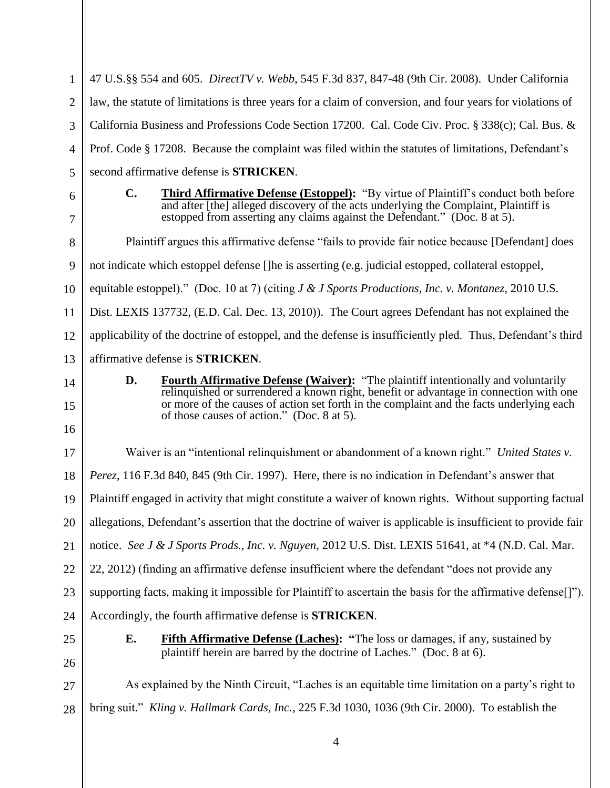4 1 2 3 4 5 6 7 8 9 10 11 12 13 14 15 16 17 18 19 20 21 22 23 24 25 26 27 28 47 U.S.§§ 554 and 605. *DirectTV v. Webb*, 545 F.3d 837, 847-48 (9th Cir. 2008). Under California law, the statute of limitations is three years for a claim of conversion, and four years for violations of California Business and Professions Code Section 17200. Cal. Code Civ. Proc. § 338(c); Cal. Bus. & Prof. Code § 17208. Because the complaint was filed within the statutes of limitations, Defendant's second affirmative defense is **STRICKEN**. **C. Third Affirmative Defense (Estoppel):** "By virtue of Plaintiff's conduct both before and after [the] alleged discovery of the acts underlying the Complaint, Plaintiff is estopped from asserting any claims against the Defendant." (Doc. 8 at 5). Plaintiff argues this affirmative defense "fails to provide fair notice because [Defendant] does not indicate which estoppel defense []he is asserting (e.g. judicial estopped, collateral estoppel, equitable estoppel)." (Doc. 10 at 7) (citing *J & J Sports Productions, Inc. v. Montanez,* 2010 U.S. Dist. LEXIS 137732, (E.D. Cal. Dec. 13, 2010)). The Court agrees Defendant has not explained the applicability of the doctrine of estoppel, and the defense is insufficiently pled. Thus, Defendant's third affirmative defense is **STRICKEN**. **D. Fourth Affirmative Defense (Waiver):** "The plaintiff intentionally and voluntarily relinquished or surrendered a known right, benefit or advantage in connection with one or more of the causes of action set forth in the complaint and the facts underlying each of those causes of action." (Doc. 8 at 5). Waiver is an "intentional relinquishment or abandonment of a known right." *United States v. Perez*, 116 F.3d 840, 845 (9th Cir. 1997). Here, there is no indication in Defendant's answer that Plaintiff engaged in activity that might constitute a waiver of known rights. Without supporting factual allegations, Defendant's assertion that the doctrine of waiver is applicable is insufficient to provide fair notice. *See J & J Sports Prods., Inc. v. Nguyen*, 2012 U.S. Dist. LEXIS 51641, at \*4 (N.D. Cal. Mar. 22, 2012) (finding an affirmative defense insufficient where the defendant "does not provide any supporting facts, making it impossible for Plaintiff to ascertain the basis for the affirmative defense[]"). Accordingly, the fourth affirmative defense is **STRICKEN**. **E. Fifth Affirmative Defense (Laches): "**The loss or damages, if any, sustained by plaintiff herein are barred by the doctrine of Laches." (Doc. 8 at 6). As explained by the Ninth Circuit, "Laches is an equitable time limitation on a party's right to bring suit." *Kling v. Hallmark Cards, Inc.*, 225 F.3d 1030, 1036 (9th Cir. 2000). To establish the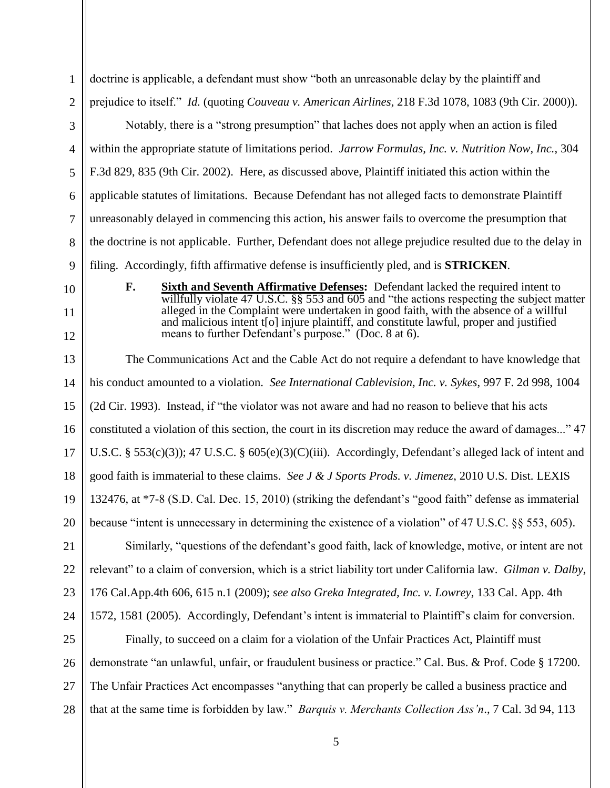| 1                                                                                                                                                                                      | doctrine is applicable, a defendant must show "both an unreasonable delay by the plaintiff and                                                                                              |  |  |  |
|----------------------------------------------------------------------------------------------------------------------------------------------------------------------------------------|---------------------------------------------------------------------------------------------------------------------------------------------------------------------------------------------|--|--|--|
| $\overline{2}$                                                                                                                                                                         | prejudice to itself." Id. (quoting Couveau v. American Airlines, 218 F.3d 1078, 1083 (9th Cir. 2000)).                                                                                      |  |  |  |
| 3                                                                                                                                                                                      | Notably, there is a "strong presumption" that laches does not apply when an action is filed                                                                                                 |  |  |  |
| $\overline{4}$                                                                                                                                                                         | within the appropriate statute of limitations period. Jarrow Formulas, Inc. v. Nutrition Now, Inc., 304                                                                                     |  |  |  |
| 5                                                                                                                                                                                      | F.3d 829, 835 (9th Cir. 2002). Here, as discussed above, Plaintiff initiated this action within the                                                                                         |  |  |  |
| 6                                                                                                                                                                                      | applicable statutes of limitations. Because Defendant has not alleged facts to demonstrate Plaintiff                                                                                        |  |  |  |
| $\overline{7}$                                                                                                                                                                         | unreasonably delayed in commencing this action, his answer fails to overcome the presumption that                                                                                           |  |  |  |
| 8                                                                                                                                                                                      | the doctrine is not applicable. Further, Defendant does not allege prejudice resulted due to the delay in                                                                                   |  |  |  |
| 9                                                                                                                                                                                      | filing. Accordingly, fifth affirmative defense is insufficiently pled, and is <b>STRICKEN</b> .                                                                                             |  |  |  |
| 10                                                                                                                                                                                     | <b>Sixth and Seventh Affirmative Defenses:</b> Defendant lacked the required intent to<br>F.<br>willfully violate 47 U.S.C. $\S$ 553 and 605 and "the actions respecting the subject matter |  |  |  |
| alleged in the Complaint were undertaken in good faith, with the absence of a willful<br>11<br>and malicious intent t[o] injure plaintiff, and constitute lawful, proper and justified |                                                                                                                                                                                             |  |  |  |
| 12                                                                                                                                                                                     | means to further Defendant's purpose." (Doc. 8 at 6).                                                                                                                                       |  |  |  |
| 13                                                                                                                                                                                     | The Communications Act and the Cable Act do not require a defendant to have knowledge that                                                                                                  |  |  |  |
| 14                                                                                                                                                                                     | his conduct amounted to a violation. See International Cablevision, Inc. v. Sykes, 997 F. 2d 998, 1004                                                                                      |  |  |  |
| 15                                                                                                                                                                                     | (2d Cir. 1993). Instead, if "the violator was not aware and had no reason to believe that his acts                                                                                          |  |  |  |
| 16                                                                                                                                                                                     | constituted a violation of this section, the court in its discretion may reduce the award of damages" 47                                                                                    |  |  |  |
| 17                                                                                                                                                                                     | U.S.C. § 553(c)(3)); 47 U.S.C. § 605(e)(3)(C)(iii). Accordingly, Defendant's alleged lack of intent and                                                                                     |  |  |  |
| 18                                                                                                                                                                                     | good faith is immaterial to these claims. See J & J Sports Prods. v. Jimenez, 2010 U.S. Dist. LEXIS                                                                                         |  |  |  |
| 19                                                                                                                                                                                     | 132476, at *7-8 (S.D. Cal. Dec. 15, 2010) (striking the defendant's "good faith" defense as immaterial                                                                                      |  |  |  |
| 20                                                                                                                                                                                     | because "intent is unnecessary in determining the existence of a violation" of 47 U.S.C. §§ 553, 605).                                                                                      |  |  |  |
| 21                                                                                                                                                                                     | Similarly, "questions of the defendant's good faith, lack of knowledge, motive, or intent are not                                                                                           |  |  |  |
| 22                                                                                                                                                                                     | relevant" to a claim of conversion, which is a strict liability tort under California law. Gilman v. Dalby,                                                                                 |  |  |  |
| 23                                                                                                                                                                                     | 176 Cal.App.4th 606, 615 n.1 (2009); see also Greka Integrated, Inc. v. Lowrey, 133 Cal. App. 4th                                                                                           |  |  |  |
| 24                                                                                                                                                                                     | 1572, 1581 (2005). Accordingly, Defendant's intent is immaterial to Plaintiff's claim for conversion.                                                                                       |  |  |  |
| 25                                                                                                                                                                                     | Finally, to succeed on a claim for a violation of the Unfair Practices Act, Plaintiff must                                                                                                  |  |  |  |
| 26                                                                                                                                                                                     | demonstrate "an unlawful, unfair, or fraudulent business or practice." Cal. Bus. & Prof. Code § 17200.                                                                                      |  |  |  |
| 27                                                                                                                                                                                     | The Unfair Practices Act encompasses "anything that can properly be called a business practice and                                                                                          |  |  |  |
| 28                                                                                                                                                                                     | that at the same time is forbidden by law." <i>Barquis v. Merchants Collection Ass'n.</i> , 7 Cal. 3d 94, 113                                                                               |  |  |  |
|                                                                                                                                                                                        |                                                                                                                                                                                             |  |  |  |

5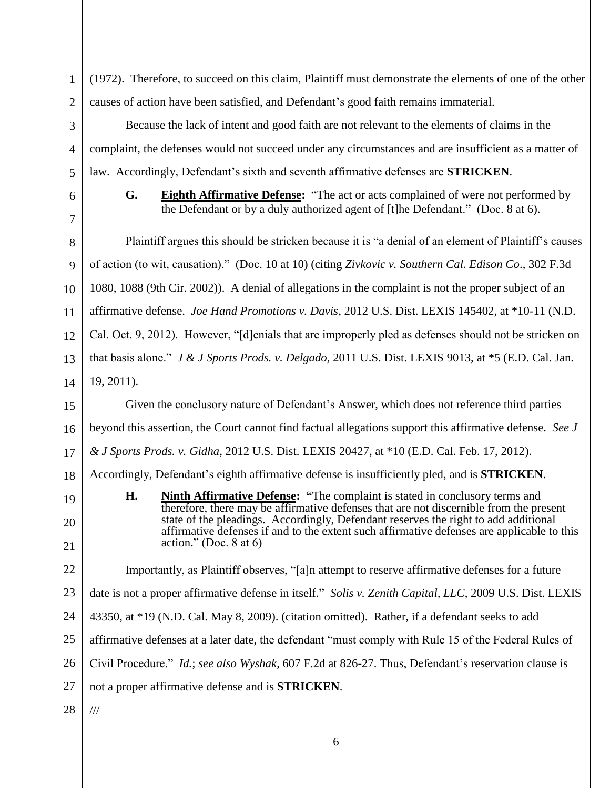| $\mathbf{1}$   | (1972). Therefore, to succeed on this claim, Plaintiff must demonstrate the elements of one of the other                                                                           |  |  |  |
|----------------|------------------------------------------------------------------------------------------------------------------------------------------------------------------------------------|--|--|--|
| $\overline{2}$ | causes of action have been satisfied, and Defendant's good faith remains immaterial.                                                                                               |  |  |  |
| 3              | Because the lack of intent and good faith are not relevant to the elements of claims in the                                                                                        |  |  |  |
| $\overline{4}$ | complaint, the defenses would not succeed under any circumstances and are insufficient as a matter of                                                                              |  |  |  |
| 5              | law. Accordingly, Defendant's sixth and seventh affirmative defenses are <b>STRICKEN</b> .                                                                                         |  |  |  |
| 6<br>7         | <b>Eighth Affirmative Defense:</b> "The act or acts complained of were not performed by<br>G.<br>the Defendant or by a duly authorized agent of [t]he Defendant." (Doc. 8 at 6).   |  |  |  |
| 8              | Plaintiff argues this should be stricken because it is "a denial of an element of Plaintiff's causes                                                                               |  |  |  |
| 9              | of action (to wit, causation)." (Doc. 10 at 10) (citing Zivkovic v. Southern Cal. Edison Co., 302 F.3d                                                                             |  |  |  |
| 10             | 1080, 1088 (9th Cir. 2002)). A denial of allegations in the complaint is not the proper subject of an                                                                              |  |  |  |
| 11             | affirmative defense. Joe Hand Promotions v. Davis, 2012 U.S. Dist. LEXIS 145402, at *10-11 (N.D.                                                                                   |  |  |  |
| 12             | Cal. Oct. 9, 2012). However, "[d]enials that are improperly pled as defenses should not be stricken on                                                                             |  |  |  |
| 13             | that basis alone." J & J Sports Prods. v. Delgado, 2011 U.S. Dist. LEXIS 9013, at *5 (E.D. Cal. Jan.                                                                               |  |  |  |
| 14             | 19, 2011).                                                                                                                                                                         |  |  |  |
| 15             | Given the conclusory nature of Defendant's Answer, which does not reference third parties                                                                                          |  |  |  |
| 16             | beyond this assertion, the Court cannot find factual allegations support this affirmative defense. See J                                                                           |  |  |  |
| 17             | & J Sports Prods. v. Gidha, 2012 U.S. Dist. LEXIS 20427, at *10 (E.D. Cal. Feb. 17, 2012).                                                                                         |  |  |  |
| 18             | Accordingly, Defendant's eighth affirmative defense is insufficiently pled, and is <b>STRICKEN</b> .                                                                               |  |  |  |
| 19             | Н.<br><b>Ninth Affirmative Defense:</b> "The complaint is stated in conclusory terms and<br>therefore, there may be affirmative defenses that are not discernible from the present |  |  |  |
| 20             | state of the pleadings. Accordingly, Defendant reserves the right to add additional<br>affirmative defenses if and to the extent such affirmative defenses are applicable to this  |  |  |  |
| 21             | action." (Doc. $8$ at 6)                                                                                                                                                           |  |  |  |
| 22             | Importantly, as Plaintiff observes, "[a]n attempt to reserve affirmative defenses for a future                                                                                     |  |  |  |
| 23             | date is not a proper affirmative defense in itself." Solis v. Zenith Capital, LLC, 2009 U.S. Dist. LEXIS                                                                           |  |  |  |
| 24             | 43350, at *19 (N.D. Cal. May 8, 2009). (citation omitted). Rather, if a defendant seeks to add                                                                                     |  |  |  |
| 25             | affirmative defenses at a later date, the defendant "must comply with Rule 15 of the Federal Rules of                                                                              |  |  |  |
| 26             | Civil Procedure." <i>Id.</i> ; see also Wyshak, 607 F.2d at 826-27. Thus, Defendant's reservation clause is                                                                        |  |  |  |
| 27             | not a proper affirmative defense and is <b>STRICKEN</b> .                                                                                                                          |  |  |  |
| 28             | $\frac{1}{1}$                                                                                                                                                                      |  |  |  |

6